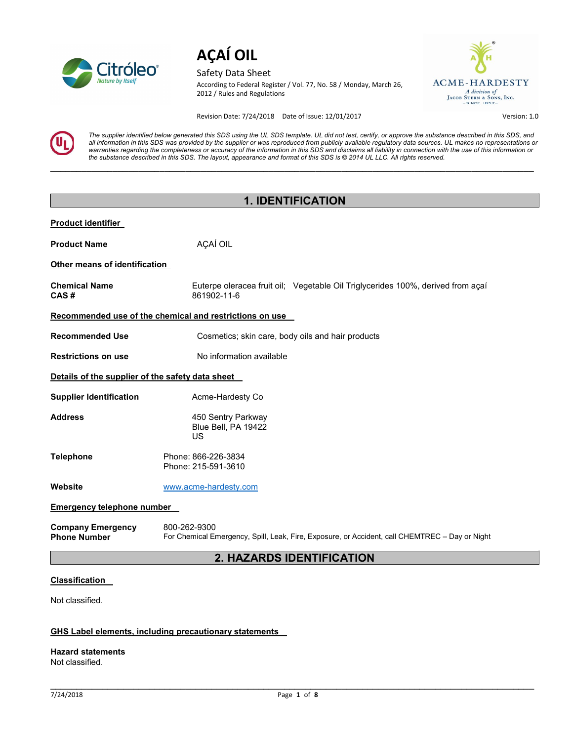

Safety Data Sheet According to Federal Register / Vol. 77, No. 58 / Monday, March 26, 2012 / Rules and Regulations

 $\_$  , and the set of the set of the set of the set of the set of the set of the set of the set of the set of the set of the set of the set of the set of the set of the set of the set of the set of the set of the set of th



Revision Date: 7/24/2018 Date of Issue: 12/01/2017 Version: 1.0

The supplier identified below generated this SDS using the UL SDS template. UL did not test, certify, or approve the substance described in this SDS, and all information in this SDS was provided by the supplier or was reproduced from publicly available regulatory data sources. UL makes no representations or warranties regarding the completeness or accuracy of the information in this SDS and disclaims all liability in connection with the use of this information or the substance described in this SDS. The layout, appearance and format of this SDS is © 2014 UL LLC. All rights reserved.

# 1. IDENTIFICATION Product identifier Product Name AÇAÍ OIL Other means of identification Chemical Name Euterpe oleracea fruit oil; Vegetable Oil Triglycerides 100%, derived from açaí<br>CAS # 661902-11-6 861902-11-6 Recommended use of the chemical and restrictions on use Recommended Use Cosmetics; skin care, body oils and hair products **Restrictions on use Community Constructions on use** No information available Details of the supplier of the safety data sheet Supplier Identification **Acme-Hardesty Co** Address **450 Sentry Parkway** Blue Bell, PA 19422 US **Telephone** Phone: 866-226-3834 Phone: 215-591-3610 Website www.acme-hardesty.com Emergency telephone number Company Emergency Phone Number 800-262-9300 For Chemical Emergency, Spill, Leak, Fire, Exposure, or Accident, call CHEMTREC – Day or Night 2. HAZARDS IDENTIFICATION

#### Classification

Not classified.

#### GHS Label elements, including precautionary statements

#### Hazard statements

Not classified.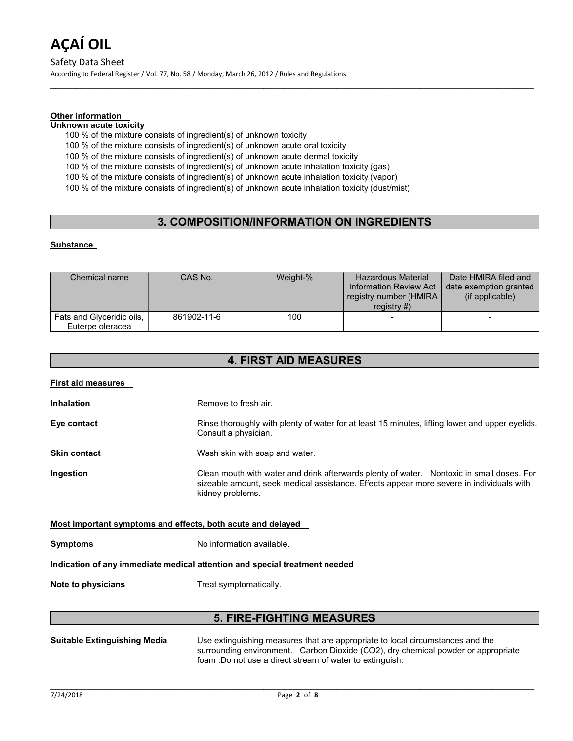Safety Data Sheet According to Federal Register / Vol. 77, No. 58 / Monday, March 26, 2012 / Rules and Regulations

#### Other information

#### Unknown acute toxicity

100 % of the mixture consists of ingredient(s) of unknown toxicity

100 % of the mixture consists of ingredient(s) of unknown acute oral toxicity

100 % of the mixture consists of ingredient(s) of unknown acute dermal toxicity

100 % of the mixture consists of ingredient(s) of unknown acute inhalation toxicity (gas)

100 % of the mixture consists of ingredient(s) of unknown acute inhalation toxicity (vapor)

100 % of the mixture consists of ingredient(s) of unknown acute inhalation toxicity (dust/mist)

# 3. COMPOSITION/INFORMATION ON INGREDIENTS

 $\mathcal{L}_\mathcal{L} = \mathcal{L}_\mathcal{L} = \mathcal{L}_\mathcal{L} = \mathcal{L}_\mathcal{L} = \mathcal{L}_\mathcal{L} = \mathcal{L}_\mathcal{L} = \mathcal{L}_\mathcal{L} = \mathcal{L}_\mathcal{L} = \mathcal{L}_\mathcal{L} = \mathcal{L}_\mathcal{L} = \mathcal{L}_\mathcal{L} = \mathcal{L}_\mathcal{L} = \mathcal{L}_\mathcal{L} = \mathcal{L}_\mathcal{L} = \mathcal{L}_\mathcal{L} = \mathcal{L}_\mathcal{L} = \mathcal{L}_\mathcal{L}$ 

#### Substance

| Chemical name                                 | CAS No.     | Weight-% | <b>Hazardous Material</b><br>Information Review Act<br>registry number (HMIRA<br>registry $#$ ) | Date HMIRA filed and<br>date exemption granted<br>(if applicable) |
|-----------------------------------------------|-------------|----------|-------------------------------------------------------------------------------------------------|-------------------------------------------------------------------|
| Fats and Glyceridic oils,<br>Euterpe oleracea | 861902-11-6 | 100      | $\qquad \qquad$                                                                                 |                                                                   |

| <b>First aid measures</b>                                                  |                                                                                                                                                                                                           |  |  |  |
|----------------------------------------------------------------------------|-----------------------------------------------------------------------------------------------------------------------------------------------------------------------------------------------------------|--|--|--|
| <b>Inhalation</b>                                                          | Remove to fresh air.                                                                                                                                                                                      |  |  |  |
| Eye contact                                                                | Rinse thoroughly with plenty of water for at least 15 minutes, lifting lower and upper eyelids.<br>Consult a physician.                                                                                   |  |  |  |
| <b>Skin contact</b>                                                        | Wash skin with soap and water.                                                                                                                                                                            |  |  |  |
| Ingestion                                                                  | Clean mouth with water and drink afterwards plenty of water. Nontoxic in small doses. For<br>sizeable amount, seek medical assistance. Effects appear more severe in individuals with<br>kidney problems. |  |  |  |
| Most important symptoms and effects, both acute and delayed                |                                                                                                                                                                                                           |  |  |  |
| <b>Symptoms</b>                                                            | No information available.                                                                                                                                                                                 |  |  |  |
| Indication of any immediate medical attention and special treatment needed |                                                                                                                                                                                                           |  |  |  |
| Note to physicians                                                         | Treat symptomatically.                                                                                                                                                                                    |  |  |  |

## 5. FIRE-FIGHTING MEASURES

| <b>Suitable Extinguishing Media</b> | Use extinguishing measures that are appropriate to local circumstances and the |                                                                                   |  |  |  |
|-------------------------------------|--------------------------------------------------------------------------------|-----------------------------------------------------------------------------------|--|--|--|
|                                     |                                                                                | surrounding environment. Carbon Dioxide (CO2), dry chemical powder or appropriate |  |  |  |
|                                     | foam. Do not use a direct stream of water to extinguish.                       |                                                                                   |  |  |  |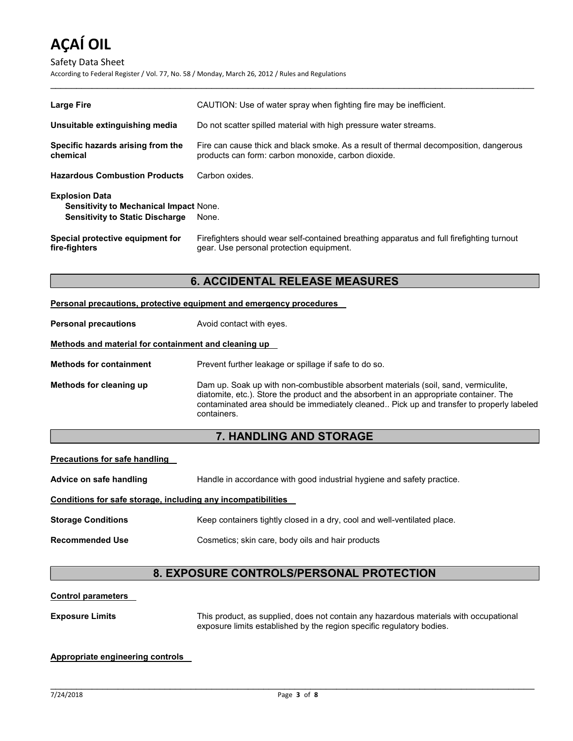#### Safety Data Sheet

According to Federal Register / Vol. 77, No. 58 / Monday, March 26, 2012 / Rules and Regulations

| <b>Large Fire</b>                                                                                                | CAUTION: Use of water spray when fighting fire may be inefficient.                                                                           |  |  |  |  |  |
|------------------------------------------------------------------------------------------------------------------|----------------------------------------------------------------------------------------------------------------------------------------------|--|--|--|--|--|
| Unsuitable extinguishing media                                                                                   | Do not scatter spilled material with high pressure water streams.                                                                            |  |  |  |  |  |
| Specific hazards arising from the<br>chemical                                                                    | Fire can cause thick and black smoke. As a result of thermal decomposition, dangerous<br>products can form: carbon monoxide, carbon dioxide. |  |  |  |  |  |
| <b>Hazardous Combustion Products</b>                                                                             | Carbon oxides.                                                                                                                               |  |  |  |  |  |
| <b>Explosion Data</b><br><b>Sensitivity to Mechanical Impact None.</b><br><b>Sensitivity to Static Discharge</b> | None.                                                                                                                                        |  |  |  |  |  |
| Special protective equipment for<br>fire-fighters                                                                | Firefighters should wear self-contained breathing apparatus and full firefighting turnout<br>gear. Use personal protection equipment.        |  |  |  |  |  |

 $\mathcal{L}_\mathcal{L} = \mathcal{L}_\mathcal{L} = \mathcal{L}_\mathcal{L} = \mathcal{L}_\mathcal{L} = \mathcal{L}_\mathcal{L} = \mathcal{L}_\mathcal{L} = \mathcal{L}_\mathcal{L} = \mathcal{L}_\mathcal{L} = \mathcal{L}_\mathcal{L} = \mathcal{L}_\mathcal{L} = \mathcal{L}_\mathcal{L} = \mathcal{L}_\mathcal{L} = \mathcal{L}_\mathcal{L} = \mathcal{L}_\mathcal{L} = \mathcal{L}_\mathcal{L} = \mathcal{L}_\mathcal{L} = \mathcal{L}_\mathcal{L}$ 

## 6. ACCIDENTAL RELEASE MEASURES

#### Personal precautions, protective equipment and emergency procedures

| <b>Personal precautions</b> | Avoid contact with eyes. |
|-----------------------------|--------------------------|
|-----------------------------|--------------------------|

#### Methods and material for containment and cleaning up

Methods for containment **Prevent further leakage or spillage if safe to do so.** 

Methods for cleaning up Dam up. Soak up with non-combustible absorbent materials (soil, sand, vermiculite, diatomite, etc.). Store the product and the absorbent in an appropriate container. The contaminated area should be immediately cleaned.. Pick up and transfer to properly labeled containers.

## 7. HANDLING AND STORAGE

#### Precautions for safe handling

Advice on safe handling Handle in accordance with good industrial hygiene and safety practice.

#### Conditions for safe storage, including any incompatibilities

Storage Conditions **Keep containers tightly closed in a dry, cool and well-ventilated place.** 

Recommended Use Cosmetics; skin care, body oils and hair products

# 8. EXPOSURE CONTROLS/PERSONAL PROTECTION

#### Control parameters

Exposure Limits This product, as supplied, does not contain any hazardous materials with occupational exposure limits established by the region specific regulatory bodies.

#### Appropriate engineering controls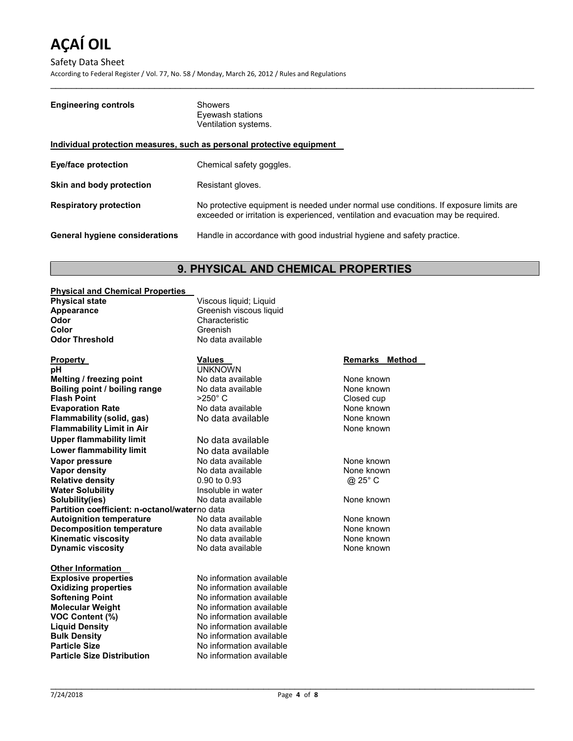Safety Data Sheet

According to Federal Register / Vol. 77, No. 58 / Monday, March 26, 2012 / Rules and Regulations

| <b>Engineering controls</b>                                           | <b>Showers</b><br>Eyewash stations<br>Ventilation systems.                                                                                                                  |  |  |  |
|-----------------------------------------------------------------------|-----------------------------------------------------------------------------------------------------------------------------------------------------------------------------|--|--|--|
| Individual protection measures, such as personal protective equipment |                                                                                                                                                                             |  |  |  |
| Eye/face protection                                                   | Chemical safety goggles.                                                                                                                                                    |  |  |  |
| Skin and body protection                                              | Resistant gloves.                                                                                                                                                           |  |  |  |
| <b>Respiratory protection</b>                                         | No protective equipment is needed under normal use conditions. If exposure limits are<br>exceeded or irritation is experienced, ventilation and evacuation may be required. |  |  |  |
| <b>General hygiene considerations</b>                                 | Handle in accordance with good industrial hygiene and safety practice.                                                                                                      |  |  |  |

 $\mathcal{L}_\mathcal{L} = \mathcal{L}_\mathcal{L} = \mathcal{L}_\mathcal{L} = \mathcal{L}_\mathcal{L} = \mathcal{L}_\mathcal{L} = \mathcal{L}_\mathcal{L} = \mathcal{L}_\mathcal{L} = \mathcal{L}_\mathcal{L} = \mathcal{L}_\mathcal{L} = \mathcal{L}_\mathcal{L} = \mathcal{L}_\mathcal{L} = \mathcal{L}_\mathcal{L} = \mathcal{L}_\mathcal{L} = \mathcal{L}_\mathcal{L} = \mathcal{L}_\mathcal{L} = \mathcal{L}_\mathcal{L} = \mathcal{L}_\mathcal{L}$ 

## 9. PHYSICAL AND CHEMICAL PROPERTIES

#### Physical and Chemical Properties

**Physical state** Viscous liquid; Liquid<br> **Appearance** Chronic Communic Creenish viscous liquid Odor Characteristic<br>
Color Color Characteristic **Color**<br> **Color Threshold**<br> **Color Threshold**<br> **Color Color**<br> **Color**<br> **Color**<br> **Color**<br> **Color**<br> **Color**<br> **Color**<br> **Color**<br> **Color** 

#### pH UNKNOWN Melting / freezing point No data available None known **Boiling point / boiling range** No data available None known<br> **Flash Point None known** >250° C None and Closed cup Flash Point  $\overline{P}$   $\overline{P}$   $\overline{P}$   $\overline{P}$   $\overline{P}$   $\overline{P}$   $\overline{P}$   $\overline{P}$   $\overline{P}$   $\overline{P}$   $\overline{P}$   $\overline{P}$   $\overline{P}$   $\overline{P}$   $\overline{P}$   $\overline{P}$   $\overline{P}$   $\overline{P}$   $\overline{P}$   $\overline{P}$   $\overline{P}$   $\overline{P}$   $\overline{P}$   $\over$ Evaporation Rate **No data available** None known<br>
Flammability (solid. gas) No data available None known **Flammability (solid, gas)** No data available None known<br> **Flammability Limit in Air** None Known Flammability Limit in Air Upper flammability limit No data available Lower flammability limit<br>
Vapor pressure<br>
Vapor pressure<br>
Vo data available Vapor pressure entity and the No data available and the None known<br>
Vapor density and No data available and None known

# Greenish viscous liquid No data available

Vapor density **No data available None known**<br>
Relative density **None and Audio COS** 1998 to 0.93 Relative density  $0.90$  to  $0.93$ <br>
Water Solubility Mater Solubility and the Insoluble in water **Water Solubility The Solubility Constrained Water Solubility in Water**<br> **Solubility ies Installation** No data available Solubility(ies) Mo data available None known Partition coefficient: n-octanol/waterno data<br>
Autoignition temperature<br>
No data available Autoignition temperature Mo data available None known **Decomposition temperature** No data available None known Kinematic viscosity **No data available** None known **Dynamic viscosity No data available** None known

- Other Information
- **Softening Point** No information available **Molecular Weight No information available** VOC Content (%) No information available Liquid Density **No information available Bulk Density** No information available **Particle Size** No information available Particle Size Distribution No information available

# **Explosive properties** No information available **Oxidizing properties** No information available

#### **Property Community Community Community Values Community Community Remarks Method**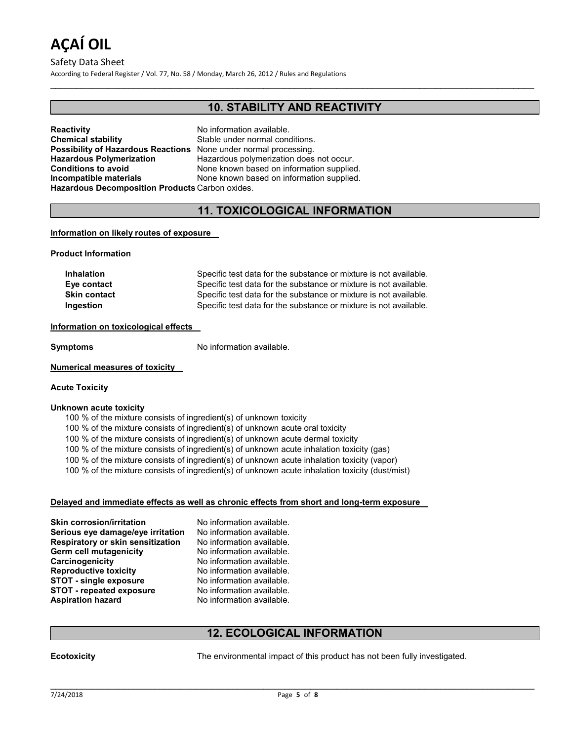Safety Data Sheet

According to Federal Register / Vol. 77, No. 58 / Monday, March 26, 2012 / Rules and Regulations

## 10. STABILITY AND REACTIVITY

 $\mathcal{L}_\mathcal{L} = \mathcal{L}_\mathcal{L} = \mathcal{L}_\mathcal{L} = \mathcal{L}_\mathcal{L} = \mathcal{L}_\mathcal{L} = \mathcal{L}_\mathcal{L} = \mathcal{L}_\mathcal{L} = \mathcal{L}_\mathcal{L} = \mathcal{L}_\mathcal{L} = \mathcal{L}_\mathcal{L} = \mathcal{L}_\mathcal{L} = \mathcal{L}_\mathcal{L} = \mathcal{L}_\mathcal{L} = \mathcal{L}_\mathcal{L} = \mathcal{L}_\mathcal{L} = \mathcal{L}_\mathcal{L} = \mathcal{L}_\mathcal{L}$ 

**Reactivity No information available.** Chemical stability Stable under normal conditions. **Possibility of Hazardous Reactions** None under normal processing.<br> **Hazardous Polymerization** Hazardous polymerization does Hazardous Decomposition Products Carbon oxides.

Hazardous polymerization does not occur. Conditions to avoid **None known based on information supplied.** Incompatible materials None known based on information supplied.

## 11. TOXICOLOGICAL INFORMATION

#### Information on likely routes of exposure

Product Information

Inhalation Specific test data for the substance or mixture is not available. Eye contact Specific test data for the substance or mixture is not available. Skin contact Specific test data for the substance or mixture is not available. Ingestion Specific test data for the substance or mixture is not available.

#### Information on toxicological effects

Symptoms No information available.

#### Numerical measures of toxicity

#### Acute Toxicity

#### Unknown acute toxicity

100 % of the mixture consists of ingredient(s) of unknown toxicity

- 100 % of the mixture consists of ingredient(s) of unknown acute oral toxicity
- 100 % of the mixture consists of ingredient(s) of unknown acute dermal toxicity
- 100 % of the mixture consists of ingredient(s) of unknown acute inhalation toxicity (gas)
- 100 % of the mixture consists of ingredient(s) of unknown acute inhalation toxicity (vapor)
- 100 % of the mixture consists of ingredient(s) of unknown acute inhalation toxicity (dust/mist)

#### Delayed and immediate effects as well as chronic effects from short and long-term exposure

**Skin corrosion/irritation** No information available. Serious eye damage/eye irritation No information available.<br>Respiratory or skin sensitization No information available. Respiratory or skin sensitization Germ cell mutagenicity No information available. Carcinogenicity **Carcinogenicity** No information available. Reproductive toxicity No information available. STOT - single exposure No information available. STOT - repeated exposure No information available. Aspiration hazard No information available.

## 12. ECOLOGICAL INFORMATION

**Ecotoxicity** The environmental impact of this product has not been fully investigated.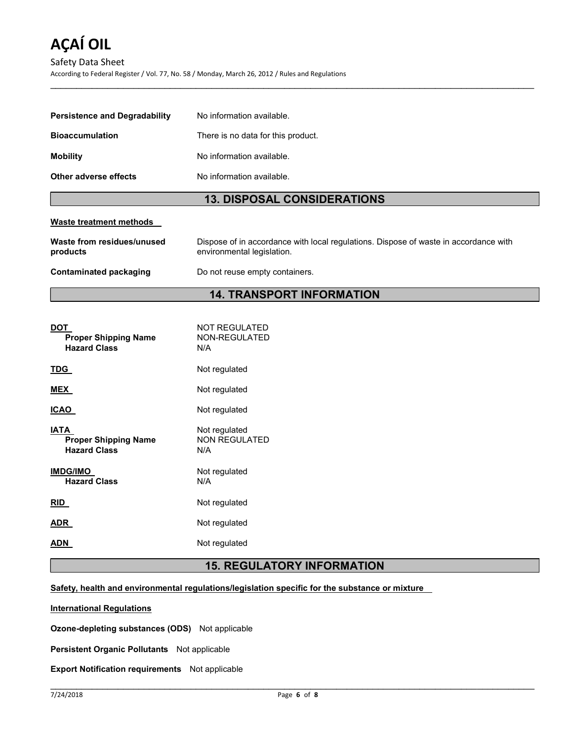Safety Data Sheet

According to Federal Register / Vol. 77, No. 58 / Monday, March 26, 2012 / Rules and Regulations

| <b>Persistence and Degradability</b> | No information available.          |  |  |
|--------------------------------------|------------------------------------|--|--|
| <b>Bioaccumulation</b>               | There is no data for this product. |  |  |
| <b>Mobility</b>                      | No information available.          |  |  |
| Other adverse effects                | No information available.          |  |  |
|                                      |                                    |  |  |

 $\mathcal{L}_\mathcal{L} = \mathcal{L}_\mathcal{L} = \mathcal{L}_\mathcal{L} = \mathcal{L}_\mathcal{L} = \mathcal{L}_\mathcal{L} = \mathcal{L}_\mathcal{L} = \mathcal{L}_\mathcal{L} = \mathcal{L}_\mathcal{L} = \mathcal{L}_\mathcal{L} = \mathcal{L}_\mathcal{L} = \mathcal{L}_\mathcal{L} = \mathcal{L}_\mathcal{L} = \mathcal{L}_\mathcal{L} = \mathcal{L}_\mathcal{L} = \mathcal{L}_\mathcal{L} = \mathcal{L}_\mathcal{L} = \mathcal{L}_\mathcal{L}$ 

# 13. DISPOSAL CONSIDERATIONS

#### Waste treatment methods

| Waste from residues/unused | Dispose of in accordance with local regulations. Dispose of waste in accordance with |
|----------------------------|--------------------------------------------------------------------------------------|
| products                   | environmental legislation.                                                           |
| Contaminated packaging     | Do not reuse empty containers.                                                       |

# 14. TRANSPORT INFORMATION

| DOT<br><b>Proper Shipping Name</b><br><b>Hazard Class</b>         | <b>NOT REGULATED</b><br>NON-REGULATED<br>N/A |
|-------------------------------------------------------------------|----------------------------------------------|
| <b>TDG</b>                                                        | Not regulated                                |
| MEX                                                               | Not regulated                                |
| ICAO                                                              | Not regulated                                |
| <b>IATA</b><br><b>Proper Shipping Name</b><br><b>Hazard Class</b> | Not regulated<br><b>NON REGULATED</b><br>N/A |
| <b>IMDG/IMO</b><br><b>Hazard Class</b>                            | Not regulated<br>N/A                         |
| <b>RID</b>                                                        | Not regulated                                |
| ADR                                                               | Not regulated                                |
| ADN                                                               | Not regulated                                |
|                                                                   |                                              |

# 15. REGULATORY INFORMATION

#### Safety, health and environmental regulations/legislation specific for the substance or mixture

International Regulations

Ozone-depleting substances (ODS) Not applicable

Persistent Organic Pollutants Not applicable

Export Notification requirements Not applicable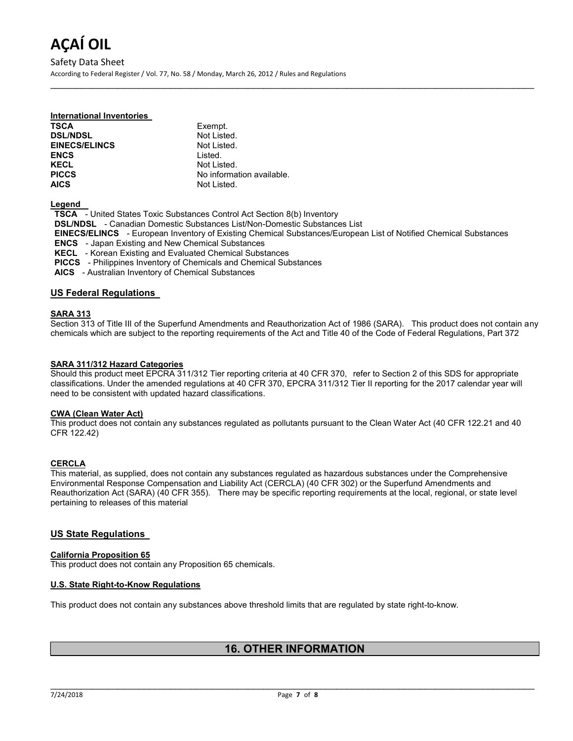Safety Data Sheet According to Federal Register / Vol. 77, No. 58 / Monday, March 26, 2012 / Rules and Regulations

#### International Inventories

| TSCA                 | Exempt.                   |
|----------------------|---------------------------|
| <b>DSL/NDSL</b>      | Not Listed.               |
| <b>EINECS/ELINCS</b> | Not Listed.               |
| <b>ENCS</b>          | I isted.                  |
| <b>KECL</b>          | Not Listed.               |
| <b>PICCS</b>         | No information available. |
| <b>AICS</b>          | Not Listed.               |

Legend

TSCA - United States Toxic Substances Control Act Section 8(b) Inventory DSL/NDSL - Canadian Domestic Substances List/Non-Domestic Substances List EINECS/ELINCS - European Inventory of Existing Chemical Substances/European List of Notified Chemical Substances ENCS - Japan Existing and New Chemical Substances KECL - Korean Existing and Evaluated Chemical Substances PICCS - Philippines Inventory of Chemicals and Chemical Substances AICS - Australian Inventory of Chemical Substances

 $\mathcal{L}_\mathcal{L} = \mathcal{L}_\mathcal{L} = \mathcal{L}_\mathcal{L} = \mathcal{L}_\mathcal{L} = \mathcal{L}_\mathcal{L} = \mathcal{L}_\mathcal{L} = \mathcal{L}_\mathcal{L} = \mathcal{L}_\mathcal{L} = \mathcal{L}_\mathcal{L} = \mathcal{L}_\mathcal{L} = \mathcal{L}_\mathcal{L} = \mathcal{L}_\mathcal{L} = \mathcal{L}_\mathcal{L} = \mathcal{L}_\mathcal{L} = \mathcal{L}_\mathcal{L} = \mathcal{L}_\mathcal{L} = \mathcal{L}_\mathcal{L}$ 

#### US Federal Regulations

#### SARA 313

Section 313 of Title III of the Superfund Amendments and Reauthorization Act of 1986 (SARA). This product does not contain any chemicals which are subject to the reporting requirements of the Act and Title 40 of the Code of Federal Regulations, Part 372

#### SARA 311/312 Hazard Categories

Should this product meet EPCRA 311/312 Tier reporting criteria at 40 CFR 370, refer to Section 2 of this SDS for appropriate classifications. Under the amended regulations at 40 CFR 370, EPCRA 311/312 Tier II reporting for the 2017 calendar year will need to be consistent with updated hazard classifications.

#### CWA (Clean Water Act)

This product does not contain any substances regulated as pollutants pursuant to the Clean Water Act (40 CFR 122.21 and 40 CFR 122.42)

#### **CERCLA**

This material, as supplied, does not contain any substances regulated as hazardous substances under the Comprehensive Environmental Response Compensation and Liability Act (CERCLA) (40 CFR 302) or the Superfund Amendments and Reauthorization Act (SARA) (40 CFR 355). There may be specific reporting requirements at the local, regional, or state level pertaining to releases of this material

#### US State Regulations

#### California Proposition 65

This product does not contain any Proposition 65 chemicals.

#### U.S. State Right-to-Know Regulations

This product does not contain any substances above threshold limits that are regulated by state right-to-know.

## 16. OTHER INFORMATION